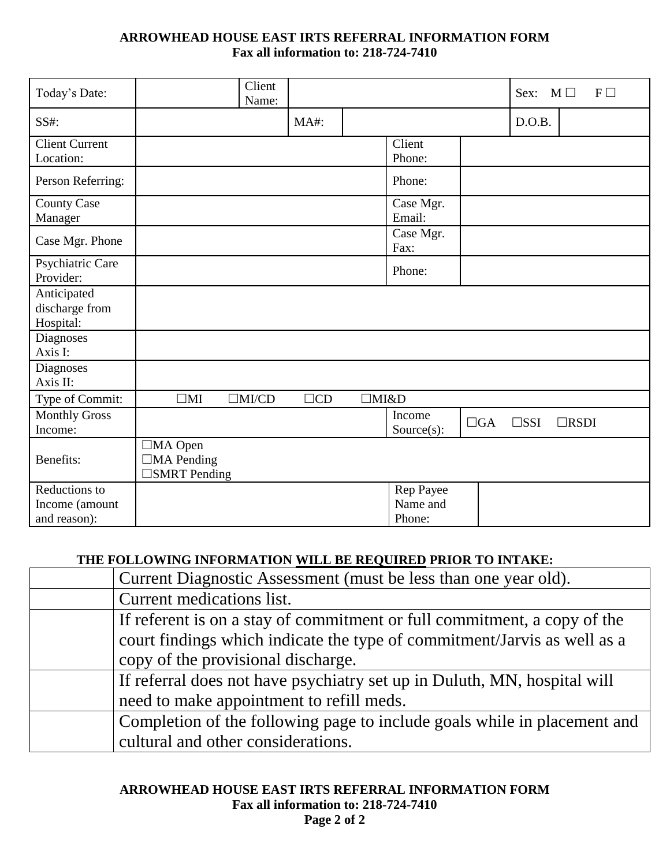## **ARROWHEAD HOUSE EAST IRTS REFERRAL INFORMATION FORM Fax all information to: 218-724-7410**

| Today's Date:                                   |                                                               | Client<br>Name: |                |             |                                 |           | Sex:          | $M \Box$<br>$F\Box$ |
|-------------------------------------------------|---------------------------------------------------------------|-----------------|----------------|-------------|---------------------------------|-----------|---------------|---------------------|
| SS#:                                            |                                                               |                 | MA#:           |             |                                 |           | D.O.B.        |                     |
| <b>Client Current</b><br>Location:              |                                                               |                 |                |             | Client<br>Phone:                |           |               |                     |
| Person Referring:                               |                                                               |                 |                |             | Phone:                          |           |               |                     |
| <b>County Case</b><br>Manager                   |                                                               |                 |                |             | Case Mgr.<br>Email:             |           |               |                     |
| Case Mgr. Phone                                 |                                                               |                 |                |             | Case Mgr.<br>Fax:               |           |               |                     |
| Psychiatric Care<br>Provider:                   |                                                               |                 |                |             | Phone:                          |           |               |                     |
| Anticipated<br>discharge from<br>Hospital:      |                                                               |                 |                |             |                                 |           |               |                     |
| <b>Diagnoses</b><br>Axis I:                     |                                                               |                 |                |             |                                 |           |               |                     |
| <b>Diagnoses</b><br>Axis II:                    |                                                               |                 |                |             |                                 |           |               |                     |
| Type of Commit:                                 | $\square$ MI                                                  | $\Box$ MI/CD    | $\Box{\rm CD}$ | $\Box$ MI&D |                                 |           |               |                     |
| <b>Monthly Gross</b><br>Income:                 |                                                               |                 |                |             | Income<br>$Source(s)$ :         | $\Box GA$ | $\square$ SSI | $\Box$ RSDI         |
| Benefits:                                       | $\Box$ MA Open<br>$\Box$ MA Pending<br>$\square$ SMRT Pending |                 |                |             |                                 |           |               |                     |
| Reductions to<br>Income (amount<br>and reason): |                                                               |                 |                |             | Rep Payee<br>Name and<br>Phone: |           |               |                     |

## **THE FOLLOWING INFORMATION WILL BE REQUIRED PRIOR TO INTAKE:**

| Current Diagnostic Assessment (must be less than one year old).          |
|--------------------------------------------------------------------------|
| Current medications list.                                                |
| If referent is on a stay of commitment or full commitment, a copy of the |
| court findings which indicate the type of commitment/Jarvis as well as a |
| copy of the provisional discharge.                                       |
| If referral does not have psychiatry set up in Duluth, MN, hospital will |
| need to make appointment to refill meds.                                 |
| Completion of the following page to include goals while in placement and |
| cultural and other considerations.                                       |

**ARROWHEAD HOUSE EAST IRTS REFERRAL INFORMATION FORM Fax all information to: 218-724-7410 Page 2 of 2**